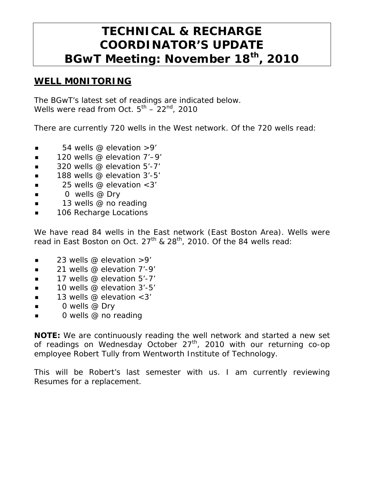# **TECHNICAL & RECHARGE COORDINATOR'S UPDATE BGwT Meeting: November 18th, 2010**

#### **WELL M0NITORING**

The BGwT's latest set of readings are indicated below. Wells were read from Oct.  $5^{th}$  – 22<sup>nd</sup>, 2010

There are currently 720 wells in the West network. Of the 720 wells read:

- $\blacksquare$  54 wells @ elevation >9'
- $\blacksquare$  120 wells @ elevation 7'-9'
- $\Box$  320 wells @ elevation 5'-7'
- $\blacksquare$  188 wells @ elevation 3'-5'
- $\blacksquare$  25 wells @ elevation < 3'
- $\Box$  0 wells @ Dry
- $\blacksquare$  13 wells @ no reading
- **106 Recharge Locations**

We have read 84 wells in the East network (East Boston Area). Wells were read in East Boston on Oct. 27<sup>th</sup> & 28<sup>th</sup>, 2010. Of the 84 wells read:

- $\blacksquare$  23 wells @ elevation >9'
- $\blacksquare$  21 wells @ elevation 7'-9'
- 17 wells @ elevation 5'-7'
- $\blacksquare$  10 wells @ elevation 3'-5'
- **13** wells @ elevation  $<3'$
- $\Box$  0 wells @ Dry
- 0 wells @ no reading

**NOTE:** We are continuously reading the well network and started a new set of readings on Wednesday October 27<sup>th</sup>, 2010 with our returning co-op employee Robert Tully from Wentworth Institute of Technology.

This will be Robert's last semester with us. I am currently reviewing Resumes for a replacement.